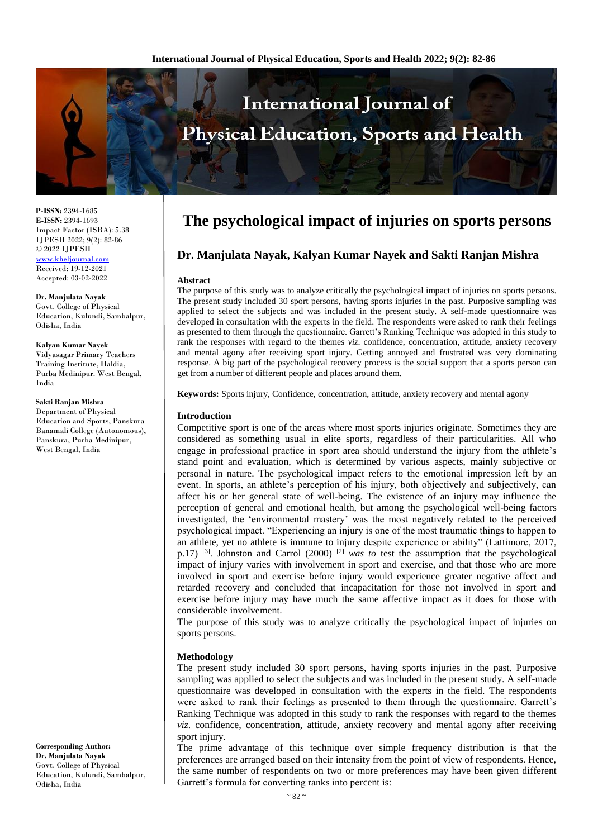

**P-ISSN:** 2394-1685 **E-ISSN:** 2394-1693 Impact Factor (ISRA): 5.38 IJPESH 2022; 9(2): 82-86 © 2022 IJPESH [www.kheljournal.com](http://www.kheljournal.com/) Received: 19-12-2021 Accepted: 03-02-2022

**Dr. Manjulata Nayak** Govt. College of Physical Education, Kulundi, Sambalpur, Odisha, India

**Kalyan Kumar Nayek** Vidyasagar Primary Teachers Training Institute, Haldia, Purba Medinipur. West Bengal, India

#### **Sakti Ranjan Mishra**

Department of Physical Education and Sports, Panskura Banamali College (Autonomous), Panskura, Purba Medinipur, West Bengal, India

**Corresponding Author: Dr. Manjulata Nayak** Govt. College of Physical Education, Kulundi, Sambalpur, Odisha, India

# **The psychological impact of injuries on sports persons**

## **Dr. Manjulata Nayak, Kalyan Kumar Nayek and Sakti Ranjan Mishra**

#### **Abstract**

The purpose of this study was to analyze critically the psychological impact of injuries on sports persons. The present study included 30 sport persons, having sports injuries in the past. Purposive sampling was applied to select the subjects and was included in the present study. A self-made questionnaire was developed in consultation with the experts in the field. The respondents were asked to rank their feelings as presented to them through the questionnaire. Garrett's Ranking Technique was adopted in this study to rank the responses with regard to the themes *viz*. confidence, concentration, attitude, anxiety recovery and mental agony after receiving sport injury. Getting annoyed and frustrated was very dominating response. A big part of the psychological recovery process is the social support that a sports person can get from a number of different people and places around them.

**Keywords:** Sports injury, Confidence, concentration, attitude, anxiety recovery and mental agony

#### **Introduction**

Competitive sport is one of the areas where most sports injuries originate. Sometimes they are considered as something usual in elite sports, regardless of their particularities. All who engage in professional practice in sport area should understand the injury from the athlete's stand point and evaluation, which is determined by various aspects, mainly subjective or personal in nature. The psychological impact refers to the emotional impression left by an event. In sports, an athlete's perception of his injury, both objectively and subjectively, can affect his or her general state of well-being. The existence of an injury may influence the perception of general and emotional health, but among the psychological well-being factors investigated, the 'environmental mastery' was the most negatively related to the perceived psychological impact. "Experiencing an injury is one of the most traumatic things to happen to an athlete, yet no athlete is immune to injury despite experience or ability" (Lattimore, 2017, p.17) [3]. Johnston and Carrol (2000) [2] *was to* test the assumption that the psychological impact of injury varies with involvement in sport and exercise, and that those who are more involved in sport and exercise before injury would experience greater negative affect and retarded recovery and concluded that incapacitation for those not involved in sport and exercise before injury may have much the same affective impact as it does for those with considerable involvement.

The purpose of this study was to analyze critically the psychological impact of injuries on sports persons.

#### **Methodology**

The present study included 30 sport persons, having sports injuries in the past. Purposive sampling was applied to select the subjects and was included in the present study. A self-made questionnaire was developed in consultation with the experts in the field. The respondents were asked to rank their feelings as presented to them through the questionnaire. Garrett's Ranking Technique was adopted in this study to rank the responses with regard to the themes *viz*. confidence, concentration, attitude, anxiety recovery and mental agony after receiving sport injury.

The prime advantage of this technique over simple frequency distribution is that the preferences are arranged based on their intensity from the point of view of respondents. Hence, the same number of respondents on two or more preferences may have been given different Garrett's formula for converting ranks into percent is: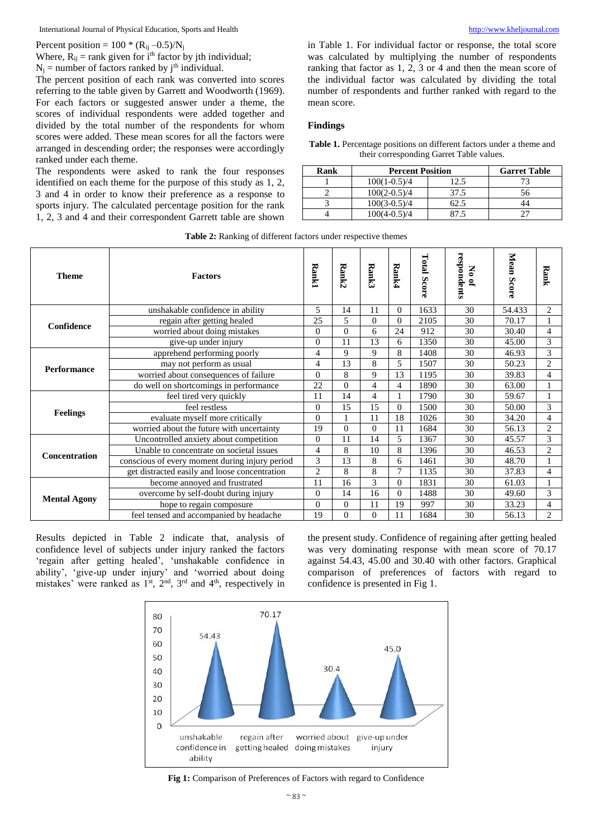Percent position =  $100 * (R_{ij} - 0.5) / N_j$ 

Where,  $R_{ij}$  = rank given for i<sup>th</sup> factor by jth individual;

 $N_i$  = number of factors ranked by j<sup>th</sup> individual.

The percent position of each rank was converted into scores referring to the table given by Garrett and Woodworth (1969). For each factors or suggested answer under a theme, the scores of individual respondents were added together and divided by the total number of the respondents for whom scores were added. These mean scores for all the factors were arranged in descending order; the responses were accordingly ranked under each theme.

The respondents were asked to rank the four responses identified on each theme for the purpose of this study as 1, 2, 3 and 4 in order to know their preference as a response to sports injury. The calculated percentage position for the rank 1, 2, 3 and 4 and their correspondent Garrett table are shown in Table 1. For individual factor or response, the total score was calculated by multiplying the number of respondents ranking that factor as 1, 2, 3 or 4 and then the mean score of the individual factor was calculated by dividing the total number of respondents and further ranked with regard to the mean score.

#### **Findings**

**Table 1.** Percentage positions on different factors under a theme and their corresponding Garret Table values.

| Rank | <b>Percent Position</b> | <b>Garret Table</b> |     |  |  |
|------|-------------------------|---------------------|-----|--|--|
|      | $100(1-0.5)/4$          |                     |     |  |  |
|      | $100(2-0.5)/4$          | 37.5                | 56. |  |  |
|      | $100(3-0.5)/4$          |                     |     |  |  |
|      | $100(4-0.5)/4$          |                     |     |  |  |

| Table 2: Ranking of different factors under respective themes |  |  |  |
|---------------------------------------------------------------|--|--|--|
|---------------------------------------------------------------|--|--|--|

| <b>Theme</b>         | <b>Factors</b>                                 | <b>Rank1</b>   | Rank2          | Rank3          | Rank4    | <b>Total Score</b> | respondents<br>No of | Mean Score | Rank           |
|----------------------|------------------------------------------------|----------------|----------------|----------------|----------|--------------------|----------------------|------------|----------------|
|                      | unshakable confidence in ability               | 5              | 14             | 11             | $\Omega$ | 1633               | 30                   | 54.433     | 2              |
| Confidence           | regain after getting healed                    | 25             | 5              | $\overline{0}$ | $\Omega$ | 2105               | 30                   | 70.17      |                |
|                      | worried about doing mistakes                   | $\mathbf{0}$   | $\theta$       | 6              | 24       | 912                | 30                   | 30.40      | $\overline{4}$ |
|                      | give-up under injury                           | $\mathbf{0}$   | 11             | 13             | 6        | 1350               | 30                   | 45.00      | 3              |
| Performance          | apprehend performing poorly                    | $\overline{4}$ | 9              | 9              | 8        | 1408               | 30                   | 46.93      | 3              |
|                      | may not perform as usual                       | $\overline{4}$ | 13             | 8              | 5        | 1507               | 30                   | 50.23      | 2              |
|                      | worried about consequences of failure          | $\mathbf{0}$   | 8              | 9              | 13       | 1195               | 30                   | 39.83      | 4              |
|                      | do well on shortcomings in performance         | 22             | $\mathbf{0}$   | $\overline{4}$ | 4        | 1890               | 30                   | 63.00      |                |
|                      | feel tired very quickly                        | 11             | 14             | $\overline{4}$ |          | 1790               | 30                   | 59.67      |                |
| <b>Feelings</b>      | feel restless                                  | $\mathbf{0}$   | 15             | 15             | $\theta$ | 1500               | 30                   | 50.00      | 3              |
|                      | evaluate myself more critically                | $\overline{0}$ |                | 11             | 18       | 1026               | 30                   | 34.20      | 4              |
|                      | worried about the future with uncertainty      | 19             | $\theta$       | $\overline{0}$ | 11       | 1684               | 30                   | 56.13      | $\overline{2}$ |
| <b>Concentration</b> | Uncontrolled anxiety about competition         | $\mathbf{0}$   | 11             | 14             | 5        | 1367               | 30                   | 45.57      | 3              |
|                      | Unable to concentrate on societal issues       | $\overline{4}$ | 8              | 10             | 8        | 1396               | 30                   | 46.53      | $\overline{c}$ |
|                      | conscious of every moment during injury period | 3              | 13             | 8              | 6        | 1461               | 30                   | 48.70      |                |
|                      | get distracted easily and loose concentration  | $\overline{2}$ | 8              | 8              | 7        | 1135               | 30                   | 37.83      | 4              |
| <b>Mental Agony</b>  | become annoyed and frustrated                  | 11             | 16             | 3              | $\Omega$ | 1831               | 30                   | 61.03      |                |
|                      | overcome by self-doubt during injury           | $\mathbf{0}$   | 14             | 16             | $\Omega$ | 1488               | 30                   | 49.60      | 3              |
|                      | hope to regain composure                       | $\mathbf{0}$   | $\mathbf{0}$   | 11             | 19       | 997                | 30                   | 33.23      | 4              |
|                      | feel tensed and accompanied by headache        | 19             | $\overline{0}$ | $\theta$       | 11       | 1684               | 30                   | 56.13      | $\overline{c}$ |

Results depicted in Table 2 indicate that, analysis of confidence level of subjects under injury ranked the factors 'regain after getting healed', 'unshakable confidence in ability', 'give-up under injury' and 'worried about doing mistakes' were ranked as  $1<sup>st</sup>$ ,  $2<sup>nd</sup>$ ,  $3<sup>rd</sup>$  and  $4<sup>th</sup>$ , respectively in

the present study. Confidence of regaining after getting healed was very dominating response with mean score of 70.17 against 54.43, 45.00 and 30.40 with other factors. Graphical comparison of preferences of factors with regard to confidence is presented in Fig 1.



**Fig 1:** Comparison of Preferences of Factors with regard to Confidence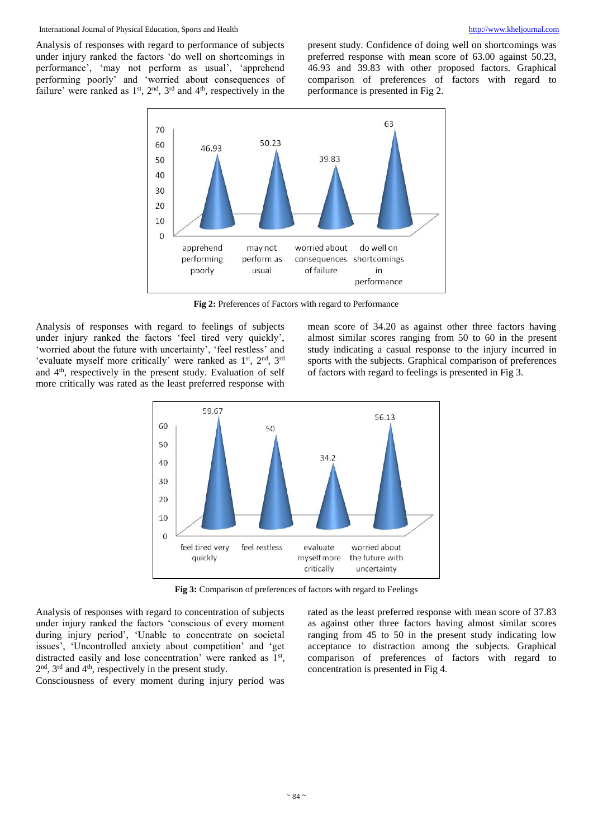Analysis of responses with regard to performance of subjects under injury ranked the factors 'do well on shortcomings in performance', 'may not perform as usual', 'apprehend performing poorly' and 'worried about consequences of failure' were ranked as  $1<sup>st</sup>$ ,  $2<sup>nd</sup>$ ,  $3<sup>rd</sup>$  and  $4<sup>th</sup>$ , respectively in the present study. Confidence of doing well on shortcomings was preferred response with mean score of 63.00 against 50.23, 46.93 and 39.83 with other proposed factors. Graphical comparison of preferences of factors with regard to performance is presented in Fig 2.



**Fig 2:** Preferences of Factors with regard to Performance

Analysis of responses with regard to feelings of subjects under injury ranked the factors 'feel tired very quickly', 'worried about the future with uncertainty', 'feel restless' and 'evaluate myself more critically' were ranked as 1<sup>st</sup>, 2<sup>nd</sup>, 3<sup>rd</sup> and 4th, respectively in the present study. Evaluation of self more critically was rated as the least preferred response with mean score of 34.20 as against other three factors having almost similar scores ranging from 50 to 60 in the present study indicating a casual response to the injury incurred in sports with the subjects. Graphical comparison of preferences of factors with regard to feelings is presented in Fig 3.



**Fig 3:** Comparison of preferences of factors with regard to Feelings

Analysis of responses with regard to concentration of subjects under injury ranked the factors 'conscious of every moment during injury period', 'Unable to concentrate on societal issues', 'Uncontrolled anxiety about competition' and 'get distracted easily and lose concentration' were ranked as 1<sup>st</sup>,  $2<sup>nd</sup>$ ,  $3<sup>rd</sup>$  and  $4<sup>th</sup>$ , respectively in the present study.

Consciousness of every moment during injury period was

rated as the least preferred response with mean score of 37.83 as against other three factors having almost similar scores ranging from 45 to 50 in the present study indicating low acceptance to distraction among the subjects. Graphical comparison of preferences of factors with regard to concentration is presented in Fig 4.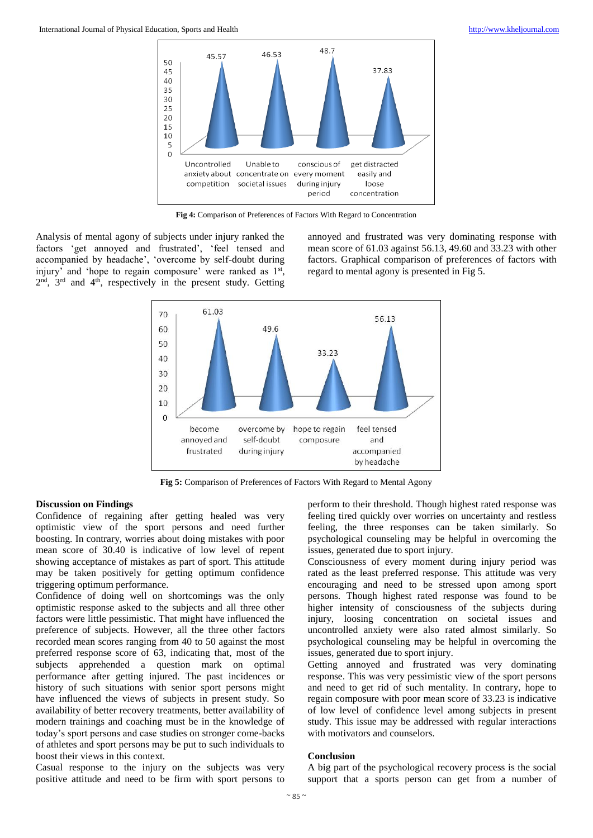

**Fig 4:** Comparison of Preferences of Factors With Regard to Concentration

Analysis of mental agony of subjects under injury ranked the factors 'get annoyed and frustrated', 'feel tensed and accompanied by headache', 'overcome by self-doubt during injury' and 'hope to regain composure' were ranked as 1<sup>st</sup>, 2<sup>nd</sup>, 3<sup>rd</sup> and 4<sup>th</sup>, respectively in the present study. Getting

annoyed and frustrated was very dominating response with mean score of 61.03 against 56.13, 49.60 and 33.23 with other factors. Graphical comparison of preferences of factors with regard to mental agony is presented in Fig 5.



**Fig 5:** Comparison of Preferences of Factors With Regard to Mental Agony

#### **Discussion on Findings**

Confidence of regaining after getting healed was very optimistic view of the sport persons and need further boosting. In contrary, worries about doing mistakes with poor mean score of 30.40 is indicative of low level of repent showing acceptance of mistakes as part of sport. This attitude may be taken positively for getting optimum confidence triggering optimum performance.

Confidence of doing well on shortcomings was the only optimistic response asked to the subjects and all three other factors were little pessimistic. That might have influenced the preference of subjects. However, all the three other factors recorded mean scores ranging from 40 to 50 against the most preferred response score of 63, indicating that, most of the subjects apprehended a question mark on optimal performance after getting injured. The past incidences or history of such situations with senior sport persons might have influenced the views of subjects in present study. So availability of better recovery treatments, better availability of modern trainings and coaching must be in the knowledge of today's sport persons and case studies on stronger come-backs of athletes and sport persons may be put to such individuals to boost their views in this context.

Casual response to the injury on the subjects was very positive attitude and need to be firm with sport persons to

perform to their threshold. Though highest rated response was feeling tired quickly over worries on uncertainty and restless feeling, the three responses can be taken similarly. So psychological counseling may be helpful in overcoming the issues, generated due to sport injury.

Consciousness of every moment during injury period was rated as the least preferred response. This attitude was very encouraging and need to be stressed upon among sport persons. Though highest rated response was found to be higher intensity of consciousness of the subjects during injury, loosing concentration on societal issues and uncontrolled anxiety were also rated almost similarly. So psychological counseling may be helpful in overcoming the issues, generated due to sport injury.

Getting annoyed and frustrated was very dominating response. This was very pessimistic view of the sport persons and need to get rid of such mentality. In contrary, hope to regain composure with poor mean score of 33.23 is indicative of low level of confidence level among subjects in present study. This issue may be addressed with regular interactions with motivators and counselors.

#### **Conclusion**

A big part of the psychological recovery process is the social support that a sports person can get from a number of